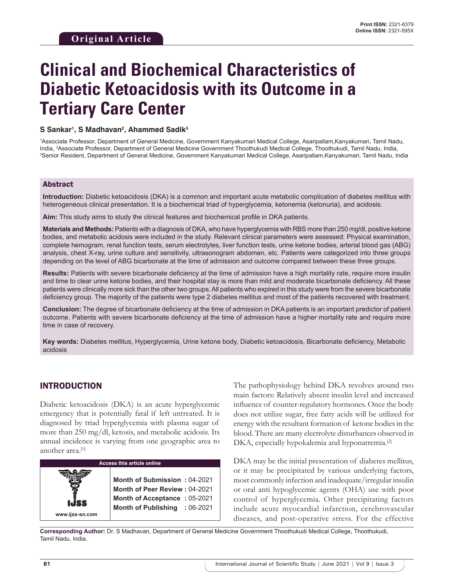# **Clinical and Biochemical Characteristics of Diabetic Ketoacidosis with its Outcome in a Tertiary Care Center**

#### **S Sankar1 , S Madhavan2 , Ahammed Sadik3**

1 Associate Professor, Department of General Medicine, Government Kanyakumari Medical College, Asaripallam,Kanyakumari, Tamil Nadu, India, <sup>2</sup>Associate Professor, Department of General Medicine Government Thoothukudi Medical College, Thoothukudi, Tamil Nadu, India,<br><sup>3</sup>Senior Resident, Department of General Medicine, Government Kanvakumari Medical Colle Senior Resident, Department of General Medicine, Government Kanyakumari Medical College, Asaripallam,Kanyakumari, Tamil Nadu, India

### Abstract

**Introduction:** Diabetic ketoacidosis (DKA) is a common and important acute metabolic complication of diabetes mellitus with heterogeneous clinical presentation. It is a biochemical triad of hyperglycemia, ketonemia (ketonuria), and acidosis.

**Aim:** This study aims to study the clinical features and biochemical profile in DKA patients.

**Materials and Methods:** Patients with a diagnosis of DKA, who have hyperglycemia with RBS more than 250 mg/dl, positive ketone bodies, and metabolic acidosis were included in the study. Relevant clinical parameters were assessed: Physical examination, complete hemogram, renal function tests, serum electrolytes, liver function tests, urine ketone bodies, arterial blood gas (ABG) analysis, chest X-ray, urine culture and sensitivity, ultrasonogram abdomen, etc. Patients were categorized into three groups depending on the level of ABG bicarbonate at the time of admission and outcome compared between these three groups.

**Results:** Patients with severe bicarbonate deficiency at the time of admission have a high mortality rate, require more insulin and time to clear urine ketone bodies, and their hospital stay is more than mild and moderate bicarbonate deficiency. All these patients were clinically more sick than the other two groups. All patients who expired in this study were from the severe bicarbonate deficiency group. The majority of the patients were type 2 diabetes mellitus and most of the patients recovered with treatment.

**Conclusion:** The degree of bicarbonate deficiency at the time of admission in DKA patients is an important predictor of patient outcome. Patients with severe bicarbonate deficiency at the time of admission have a higher mortality rate and require more time in case of recovery.

**Key words:** Diabetes mellitus, Hyperglycemia, Urine ketone body, Diabetic ketoacidosis, Bicarbonate deficiency, Metabolic acidosis

## INTRODUCTION

Diabetic ketoacidosis (DKA) is an acute hyperglycemic emergency that is potentially fatal if left untreated. It is diagnosed by triad hyperglycemia with plasma sugar of more than 250 mg/dl, ketosis, and metabolic acidosis. Its annual incidence is varying from one geographic area to another area.[1]



The pathophysiology behind DKA revolves around two main factors: Relatively absent insulin level and increased influence of counter-regulatory hormones. Once the body does not utilize sugar, free fatty acids will be utilized for energy with the resultant formation of ketone bodies in the blood. There are many electrolyte disturbances observed in DKA, especially hypokalemia and hyponatremia.<sup>[2]</sup>

DKA may be the initial presentation of diabetes mellitus, or it may be precipitated by various underlying factors, most commonly infection and inadequate/irregular insulin or oral anti hypoglycemic agents (OHA) use with poor control of hyperglycemia. Other precipitating factors include acute myocardial infarction, cerebrovascular diseases, and post-operative stress. For the effective

**Corresponding Author:** Dr. S Madhavan, Department of General Medicine Government Thoothukudi Medical College, Thoothukudi, Tamil Nadu, India.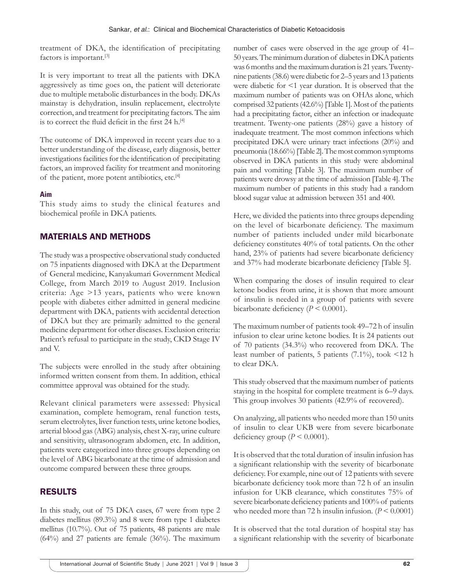treatment of DKA, the identification of precipitating factors is important.[3]

It is very important to treat all the patients with DKA aggressively as time goes on, the patient will deteriorate due to multiple metabolic disturbances in the body. DKAs mainstay is dehydration, insulin replacement, electrolyte correction, and treatment for precipitating factors. The aim is to correct the fluid deficit in the first  $24$  h.<sup>[4]</sup>

The outcome of DKA improved in recent years due to a better understanding of the disease, early diagnosis, better investigations facilities for the identification of precipitating factors, an improved facility for treatment and monitoring of the patient, more potent antibiotics, etc.[4]

## **Aim**

This study aims to study the clinical features and biochemical profile in DKA patients.

## MATERIALS AND METHODS

The study was a prospective observational study conducted on 75 inpatients diagnosed with DKA at the Department of General medicine, Kanyakumari Government Medical College, from March 2019 to August 2019. Inclusion criteria: Age >13 years, patients who were known people with diabetes either admitted in general medicine department with DKA, patients with accidental detection of DKA but they are primarily admitted to the general medicine department for other diseases. Exclusion criteria: Patient's refusal to participate in the study, CKD Stage IV and V.

The subjects were enrolled in the study after obtaining informed written consent from them. In addition, ethical committee approval was obtained for the study.

Relevant clinical parameters were assessed: Physical examination, complete hemogram, renal function tests, serum electrolytes, liver function tests, urine ketone bodies, arterial blood gas (ABG) analysis, chest X-ray, urine culture and sensitivity, ultrasonogram abdomen, etc. In addition, patients were categorized into three groups depending on the level of ABG bicarbonate at the time of admission and outcome compared between these three groups.

# RESULTS

In this study, out of 75 DKA cases, 67 were from type 2 diabetes mellitus (89.3%) and 8 were from type 1 diabetes mellitus (10.7%). Out of 75 patients, 48 patients are male (64%) and 27 patients are female (36%). The maximum number of cases were observed in the age group of 41– 50 years. The minimum duration of diabetes in DKA patients was 6 months and the maximum duration is 21 years. Twentynine patients (38.6) were diabetic for 2–5 years and 13 patients were diabetic for <1 year duration. It is observed that the maximum number of patients was on OHAs alone, which comprised 32 patients (42.6%) [Table 1]. Most of the patients had a precipitating factor, either an infection or inadequate treatment. Twenty-one patients (28%) gave a history of inadequate treatment. The most common infections which precipitated DKA were urinary tract infections (20%) and pneumonia (18.66%) [Table 2]. The most common symptoms observed in DKA patients in this study were abdominal pain and vomiting [Table 3]. The maximum number of patients were drowsy at the time of admission [Table 4]. The maximum number of patients in this study had a random blood sugar value at admission between 351 and 400.

Here, we divided the patients into three groups depending on the level of bicarbonate deficiency. The maximum number of patients included under mild bicarbonate deficiency constitutes 40% of total patients. On the other hand, 23% of patients had severe bicarbonate deficiency and 37% had moderate bicarbonate deficiency [Table 5].

When comparing the doses of insulin required to clear ketone bodies from urine, it is shown that more amount of insulin is needed in a group of patients with severe bicarbonate deficiency  $(P < 0.0001)$ .

The maximum number of patients took 49–72 h of insulin infusion to clear urine ketone bodies. It is 24 patients out of 70 patients (34.3%) who recovered from DKA. The least number of patients, 5 patients  $(7.1\%)$ , took <12 h to clear DKA.

This study observed that the maximum number of patients staying in the hospital for complete treatment is 6–9 days. This group involves 30 patients (42.9% of recovered).

On analyzing, all patients who needed more than 150 units of insulin to clear UKB were from severe bicarbonate deficiency group  $(P < 0.0001)$ .

It is observed that the total duration of insulin infusion has a significant relationship with the severity of bicarbonate deficiency. For example, nine out of 12 patients with severe bicarbonate deficiency took more than 72 h of an insulin infusion for UKB clearance, which constitutes 75% of severe bicarbonate deficiency patients and 100% of patients who needed more than 72 h insulin infusion.  $(P < 0.0001)$ 

It is observed that the total duration of hospital stay has a significant relationship with the severity of bicarbonate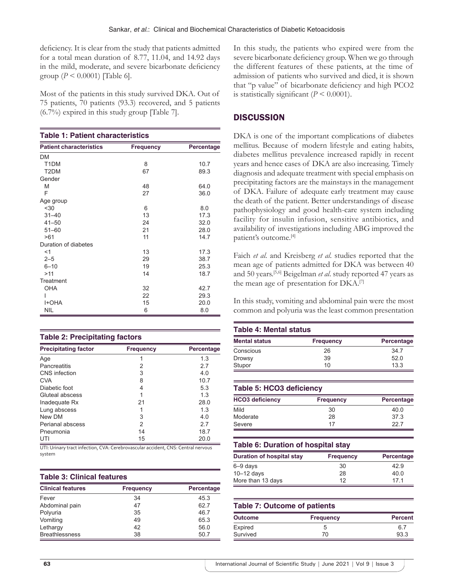deficiency. It is clear from the study that patients admitted for a total mean duration of 8.77, 11.04, and 14.92 days in the mild, moderate, and severe bicarbonate deficiency group ( $P < 0.0001$ ) [Table 6].

Most of the patients in this study survived DKA. Out of 75 patients, 70 patients (93.3) recovered, and 5 patients (6.7%) expired in this study group [Table 7].

| <b>Table 1: Patient characteristics</b> |                  |            |
|-----------------------------------------|------------------|------------|
| <b>Patient characteristics</b>          | <b>Frequency</b> | Percentage |
| <b>DM</b>                               |                  |            |
| T <sub>1</sub> DM                       | 8                | 10.7       |
| T <sub>2</sub> DM                       | 67               | 89.3       |
| Gender                                  |                  |            |
| M                                       | 48               | 64.0       |
| F                                       | 27               | 36.0       |
| Age group                               |                  |            |
| $30$                                    | 6                | 8.0        |
| $31 - 40$                               | 13               | 17.3       |
| $41 - 50$                               | 24               | 32.0       |
| $51 - 60$                               | 21               | 28.0       |
| >61                                     | 11               | 14.7       |
| Duration of diabetes                    |                  |            |
| $<$ 1                                   | 13               | 17.3       |
| $2 - 5$                                 | 29               | 38.7       |
| $6 - 10$                                | 19               | 25.3       |
| >11                                     | 14               | 18.7       |
| Treatment                               |                  |            |
| <b>OHA</b>                              | 32               | 42.7       |
|                                         | 22               | 29.3       |
| <b>HOHA</b>                             | 15               | 20.0       |
| <b>NIL</b>                              | 6                | 8.0        |

#### **Table 2: Precipitating factors**

| <b>Precipitating factor</b> | <b>Frequency</b> | Percentage |
|-----------------------------|------------------|------------|
| Age                         |                  | 1.3        |
| <b>Pancreatitis</b>         | 2                | 2.7        |
| CNS infection               | 3                | 4.0        |
| <b>CVA</b>                  | 8                | 10.7       |
| Diabetic foot               | 4                | 5.3        |
| Gluteal abscess             |                  | 1.3        |
| Inadequate Rx               | 21               | 28.0       |
| Lung abscess                |                  | 1.3        |
| New DM                      | 3                | 4.0        |
| Perianal abscess            | 2                | 2.7        |
| Pneumonia                   | 14               | 18.7       |
| UTI                         | 15               | 20.0       |

UTI: Urinary tract infection, CVA: Cerebrovascular accident, CNS: Central nervous system

#### **Table 3: Clinical features**

| <b>Clinical features</b> | <b>Frequency</b> | Percentage |
|--------------------------|------------------|------------|
| Fever                    | 34               | 45.3       |
| Abdominal pain           | 47               | 62.7       |
| Polyuria                 | 35               | 46.7       |
| Vomiting                 | 49               | 65.3       |
| Lethargy                 | 42               | 56.0       |
| <b>Breathlessness</b>    | 38               | 50.7       |

In this study, the patients who expired were from the severe bicarbonate deficiency group. When we go through the different features of these patients, at the time of admission of patients who survived and died, it is shown that "p value" of bicarbonate deficiency and high PCO2 is statistically significant  $(P < 0.0001)$ .

## **DISCUSSION**

DKA is one of the important complications of diabetes mellitus. Because of modern lifestyle and eating habits, diabetes mellitus prevalence increased rapidly in recent years and hence cases of DKA are also increasing. Timely diagnosis and adequate treatment with special emphasis on precipitating factors are the mainstays in the management of DKA. Failure of adequate early treatment may cause the death of the patient. Better understandings of disease pathophysiology and good health-care system including facility for insulin infusion, sensitive antibiotics, and availability of investigations including ABG improved the patient's outcome.[4]

Faich *et al*. and Kreisberg *et al*. studies reported that the mean age of patients admitted for DKA was between 40 and 50 years.[5,6] Beigelman *et al*. study reported 47 years as the mean age of presentation for DKA.[7]

In this study, vomiting and abdominal pain were the most common and polyuria was the least common presentation

| <b>Mental status</b> | <b>Frequency</b> | Percentage |
|----------------------|------------------|------------|
| Conscious            | 26               | 34.7       |
| Drowsy               | 39               | 52.0       |
| Stupor               | 10               | 13.3       |

| <b>HCO3</b> deficiency | <b>Frequency</b> | Percentage |
|------------------------|------------------|------------|
| Mild                   | 30               | 40.0       |
| Moderate               | 28               | 37.3       |
| Severe                 | 17               | 22.7       |

#### **Table 6: Duration of hospital stay**

| <b>Duration of hospital stay</b> | <b>Frequency</b> | Percentage      |
|----------------------------------|------------------|-----------------|
| $6 - 9$ days                     | 30               | 42.9            |
| $10-12$ days                     | 28               | 40.0            |
| More than 13 days                | 12               | 17 <sub>1</sub> |

#### **Table 7: Outcome of patients**

| <b>Outcome</b> | <b>Frequency</b> | <b>Percent</b> |
|----------------|------------------|----------------|
| Expired        | 5                | 6.7            |
| Survived       | 70               | 93.3           |